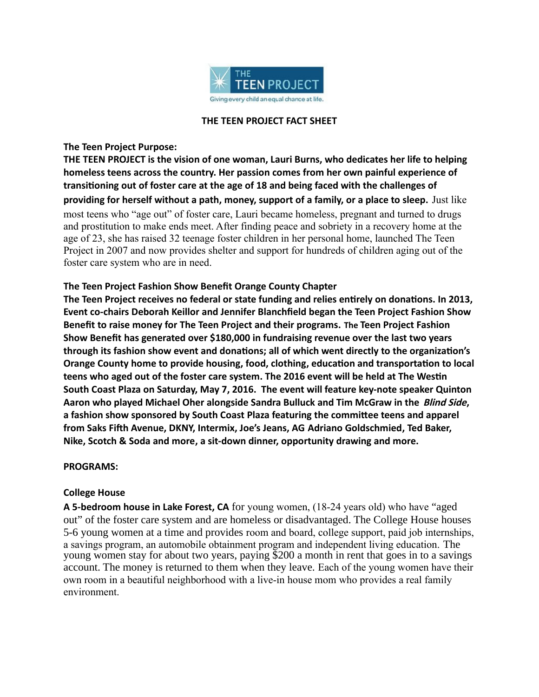

#### **THE TEEN PROJECT FACT SHEET**

#### **The Teen Project Purpose:**

**THE TEEN PROJECT is the vision of one woman, Lauri Burns, who dedicates her life to helping homeless teens across the country. Her passion comes from her own painful experience of transitioning out of foster care at the age of 18 and being faced with the challenges of providing for herself without a path, money, support of a family, or a place to sleep.** Just like most teens who "age out" of foster care, Lauri became homeless, pregnant and turned to drugs and prostitution to make ends meet. After finding peace and sobriety in a recovery home at the age of 23, she has raised 32 teenage foster children in her personal home, launched The Teen Project in 2007 and now provides shelter and support for hundreds of children aging out of the foster care system who are in need.

# **The Teen Project Fashion Show Benefit Orange County Chapter**

**The Teen Project receives no federal or state funding and relies entirely on donations. In 2013, Event co-chairs Deborah Keillor and Jennifer Blanchfield began the Teen Project Fashion Show Benefit to raise money for The Teen Project and their programs. The Teen Project Fashion Show Benefit has generated over \$180,000 in fundraising revenue over the last two years through its fashion show event and donations; all of which went directly to the organization's Orange County home to provide housing, food, clothing, education and transportation to local teens who aged out of the foster care system. The 2016 event will be held at The Westin South Coast Plaza on Saturday, May 7, 2016. The event will feature key-note speaker Quinton Aaron who played Michael Oher alongside Sandra Bulluck and Tim McGraw in the Blind Side, a fashion show sponsored by South Coast Plaza featuring the committee teens and apparel from Saks Fifth Avenue, DKNY, Intermix, Joe's Jeans, AG Adriano Goldschmied, Ted Baker, Nike, Scotch & Soda and more, a sit-down dinner, opportunity drawing and more.** 

## **PROGRAMS:**

## **College House**

**A 5-bedroom house in Lake Forest, CA** for young women, (18-24 years old) who have "aged out" of the foster care system and are homeless or disadvantaged. The College House houses 5-6 young women at a time and provides room and board, college support, paid job internships, a savings program, an automobile obtainment program and independent living education. The young women stay for about two years, paying \$200 a month in rent that goes in to a savings account. The money is returned to them when they leave. Each of the young women have their own room in a beautiful neighborhood with a live-in house mom who provides a real family environment.